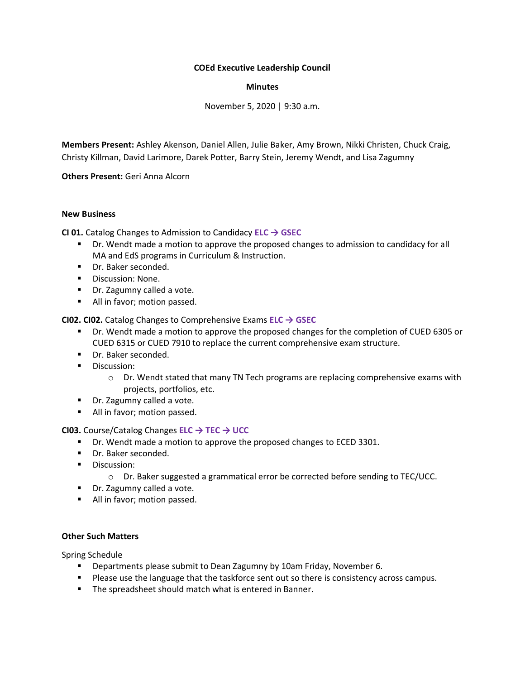# **COEd Executive Leadership Council**

#### **Minutes**

November 5, 2020 | 9:30 a.m.

**Members Present:** Ashley Akenson, Daniel Allen, Julie Baker, Amy Brown, Nikki Christen, Chuck Craig, Christy Killman, David Larimore, Darek Potter, Barry Stein, Jeremy Wendt, and Lisa Zagumny

**Others Present:** Geri Anna Alcorn

#### **New Business**

**CI 01.** Catalog Changes to Admission to Candidacy **ELC → GSEC**

- Dr. Wendt made a motion to approve the proposed changes to admission to candidacy for all MA and EdS programs in Curriculum & Instruction.
- Dr. Baker seconded.
- Discussion: None.
- Dr. Zagumny called a vote.
- All in favor; motion passed.

**CI02. CI02.** Catalog Changes to Comprehensive Exams **ELC → GSEC**

- Dr. Wendt made a motion to approve the proposed changes for the completion of CUED 6305 or CUED 6315 or CUED 7910 to replace the current comprehensive exam structure.
- Dr. Baker seconded.
- **■** Discussion:
	- $\circ$  Dr. Wendt stated that many TN Tech programs are replacing comprehensive exams with projects, portfolios, etc.
- Dr. Zagumny called a vote.
- All in favor; motion passed.

# **CI03.** Course/Catalog Changes **ELC → TEC → UCC**

- Dr. Wendt made a motion to approve the proposed changes to ECED 3301.
- Dr. Baker seconded.
- Discussion:
	- o Dr. Baker suggested a grammatical error be corrected before sending to TEC/UCC.
- Dr. Zagumny called a vote.
- All in favor; motion passed.

#### **Other Such Matters**

Spring Schedule

- Departments please submit to Dean Zagumny by 10am Friday, November 6.
- **Please use the language that the taskforce sent out so there is consistency across campus.**
- The spreadsheet should match what is entered in Banner.